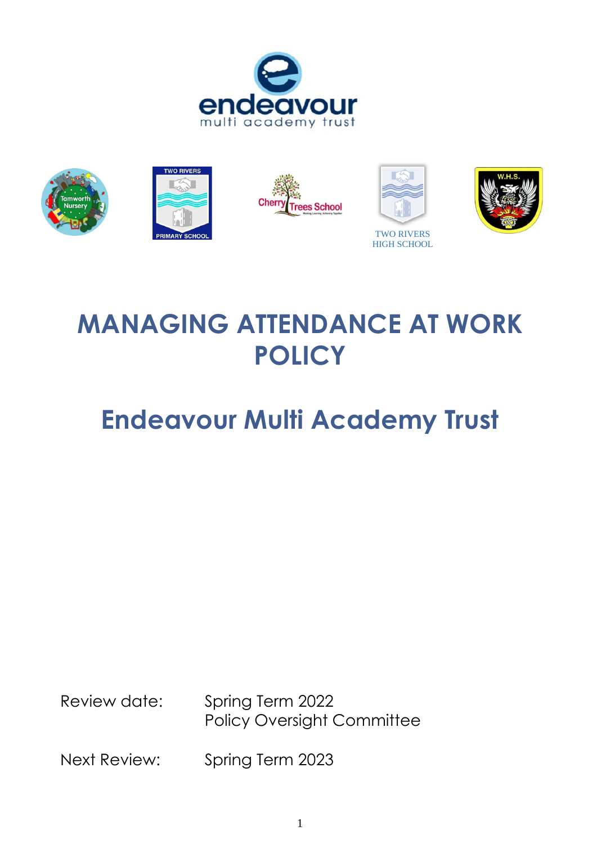



# **MANAGING ATTENDANCE AT WORK POLICY**

# **Endeavour Multi Academy Trust**

Review date: Spring Term 2022 Policy Oversight Committee

Next Review: Spring Term 2023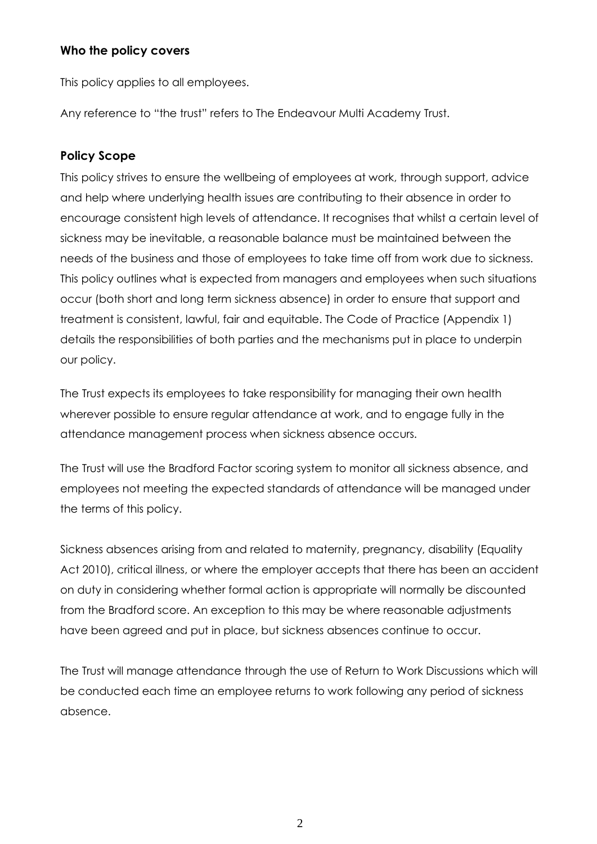#### **Who the policy covers**

This policy applies to all employees.

Any reference to "the trust" refers to The Endeavour Multi Academy Trust.

## **Policy Scope**

This policy strives to ensure the wellbeing of employees at work, through support, advice and help where underlying health issues are contributing to their absence in order to encourage consistent high levels of attendance. It recognises that whilst a certain level of sickness may be inevitable, a reasonable balance must be maintained between the needs of the business and those of employees to take time off from work due to sickness. This policy outlines what is expected from managers and employees when such situations occur (both short and long term sickness absence) in order to ensure that support and treatment is consistent, lawful, fair and equitable. The Code of Practice (Appendix 1) details the responsibilities of both parties and the mechanisms put in place to underpin our policy.

The Trust expects its employees to take responsibility for managing their own health wherever possible to ensure regular attendance at work, and to engage fully in the attendance management process when sickness absence occurs.

The Trust will use the Bradford Factor scoring system to monitor all sickness absence, and employees not meeting the expected standards of attendance will be managed under the terms of this policy.

Sickness absences arising from and related to maternity, pregnancy, disability (Equality Act 2010), critical illness, or where the employer accepts that there has been an accident on duty in considering whether formal action is appropriate will normally be discounted from the Bradford score. An exception to this may be where reasonable adjustments have been agreed and put in place, but sickness absences continue to occur.

The Trust will manage attendance through the use of Return to Work Discussions which will be conducted each time an employee returns to work following any period of sickness absence.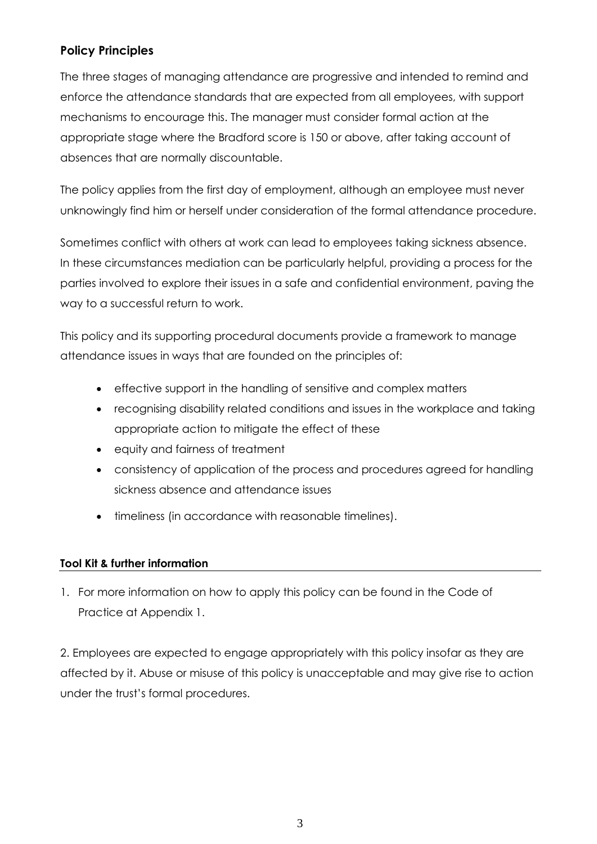# **Policy Principles**

The three stages of managing attendance are progressive and intended to remind and enforce the attendance standards that are expected from all employees, with support mechanisms to encourage this. The manager must consider formal action at the appropriate stage where the Bradford score is 150 or above, after taking account of absences that are normally discountable.

The policy applies from the first day of employment, although an employee must never unknowingly find him or herself under consideration of the formal attendance procedure.

Sometimes conflict with others at work can lead to employees taking sickness absence. In these circumstances mediation can be particularly helpful, providing a process for the parties involved to explore their issues in a safe and confidential environment, paving the way to a successful return to work.

This policy and its supporting procedural documents provide a framework to manage attendance issues in ways that are founded on the principles of:

- effective support in the handling of sensitive and complex matters
- recognising disability related conditions and issues in the workplace and taking appropriate action to mitigate the effect of these
- equity and fairness of treatment
- consistency of application of the process and procedures agreed for handling sickness absence and attendance issues
- timeliness (in accordance with reasonable timelines).

## **Tool Kit & further information**

1. For more information on how to apply this policy can be found in the Code of Practice at Appendix 1.

2. Employees are expected to engage appropriately with this policy insofar as they are affected by it. Abuse or misuse of this policy is unacceptable and may give rise to action under the trust's formal procedures.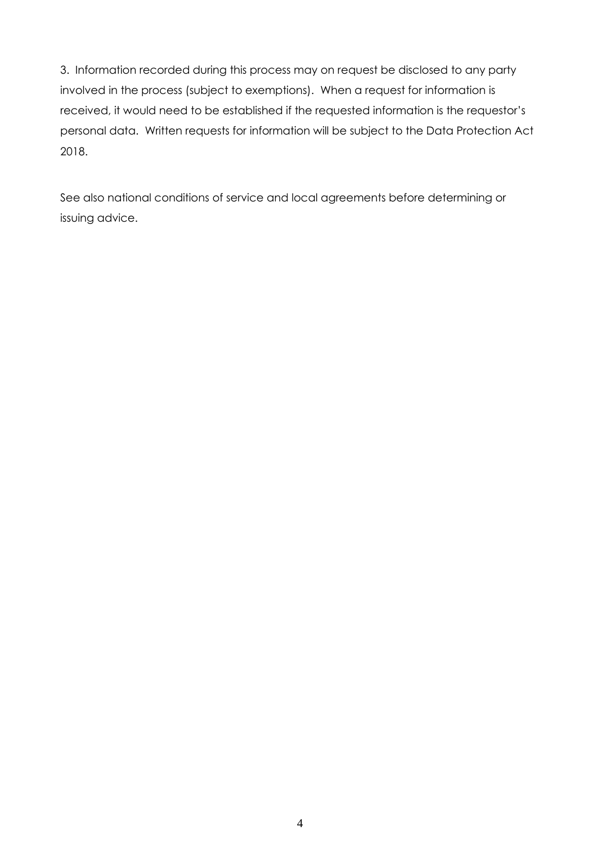3. Information recorded during this process may on request be disclosed to any party involved in the process (subject to exemptions). When a request for information is received, it would need to be established if the requested information is the requestor's personal data. Written requests for information will be subject to the Data Protection Act 2018.

See also national conditions of service and local agreements before determining or issuing advice.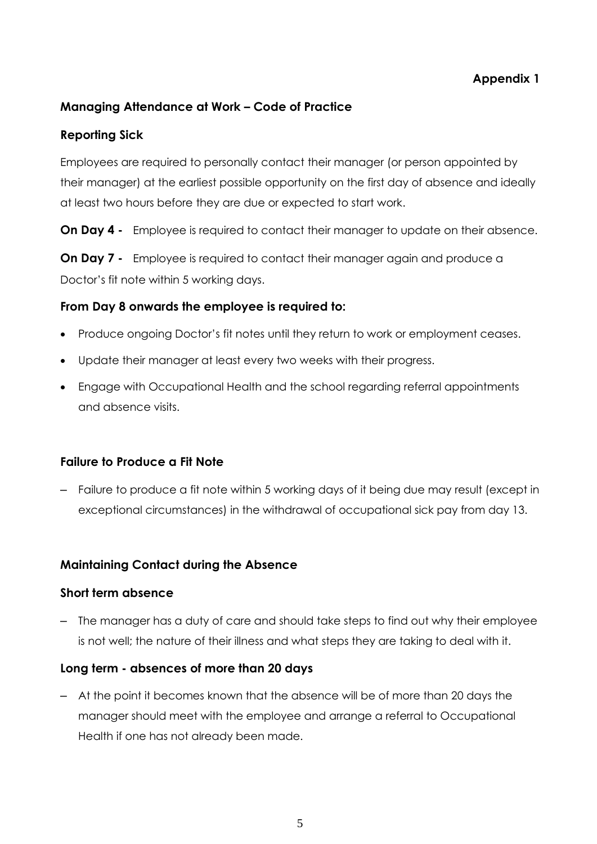## **Appendix 1**

## **Managing Attendance at Work – Code of Practice**

## **Reporting Sick**

Employees are required to personally contact their manager (or person appointed by their manager) at the earliest possible opportunity on the first day of absence and ideally at least two hours before they are due or expected to start work.

**On Day 4 -** Employee is required to contact their manager to update on their absence.

**On Day 7 -** Employee is required to contact their manager again and produce a Doctor's fit note within 5 working days.

#### **From Day 8 onwards the employee is required to:**

- Produce ongoing Doctor's fit notes until they return to work or employment ceases.
- Update their manager at least every two weeks with their progress.
- Engage with Occupational Health and the school regarding referral appointments and absence visits.

## **Failure to Produce a Fit Note**

– Failure to produce a fit note within 5 working days of it being due may result (except in exceptional circumstances) in the withdrawal of occupational sick pay from day 13.

## **Maintaining Contact during the Absence**

#### **Short term absence**

– The manager has a duty of care and should take steps to find out why their employee is not well; the nature of their illness and what steps they are taking to deal with it.

#### **Long term - absences of more than 20 days**

– At the point it becomes known that the absence will be of more than 20 days the manager should meet with the employee and arrange a referral to Occupational Health if one has not already been made.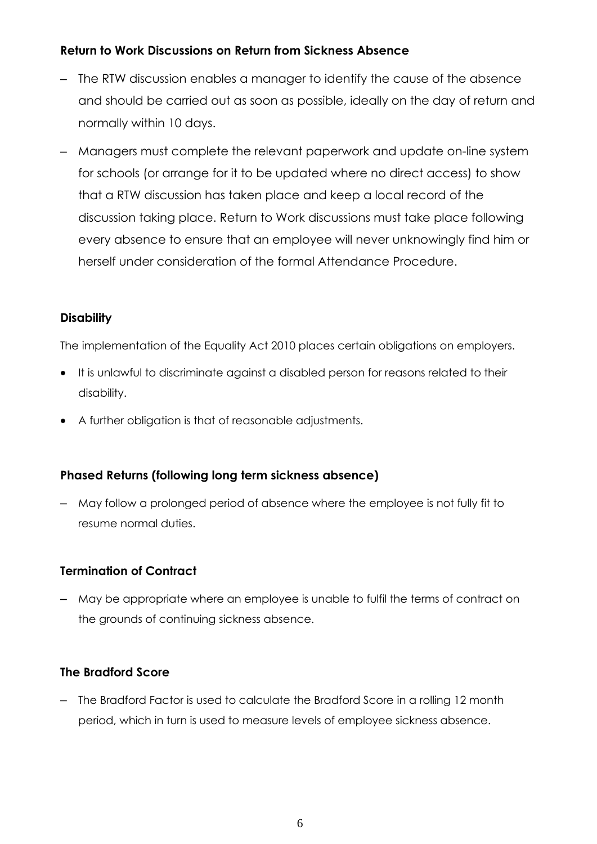## **Return to Work Discussions on Return from Sickness Absence**

- The RTW discussion enables a manager to identify the cause of the absence and should be carried out as soon as possible, ideally on the day of return and normally within 10 days.
- Managers must complete the relevant paperwork and update on-line system for schools (or arrange for it to be updated where no direct access) to show that a RTW discussion has taken place and keep a local record of the discussion taking place. Return to Work discussions must take place following every absence to ensure that an employee will never unknowingly find him or herself under consideration of the formal Attendance Procedure.

## **Disability**

The implementation of the Equality Act 2010 places certain obligations on employers.

- It is unlawful to discriminate against a disabled person for reasons related to their disability.
- A further obligation is that of reasonable adjustments.

## **Phased Returns (following long term sickness absence)**

– May follow a prolonged period of absence where the employee is not fully fit to resume normal duties.

## **Termination of Contract**

– May be appropriate where an employee is unable to fulfil the terms of contract on the grounds of continuing sickness absence.

## **The Bradford Score**

– The Bradford Factor is used to calculate the Bradford Score in a rolling 12 month period, which in turn is used to measure levels of employee sickness absence.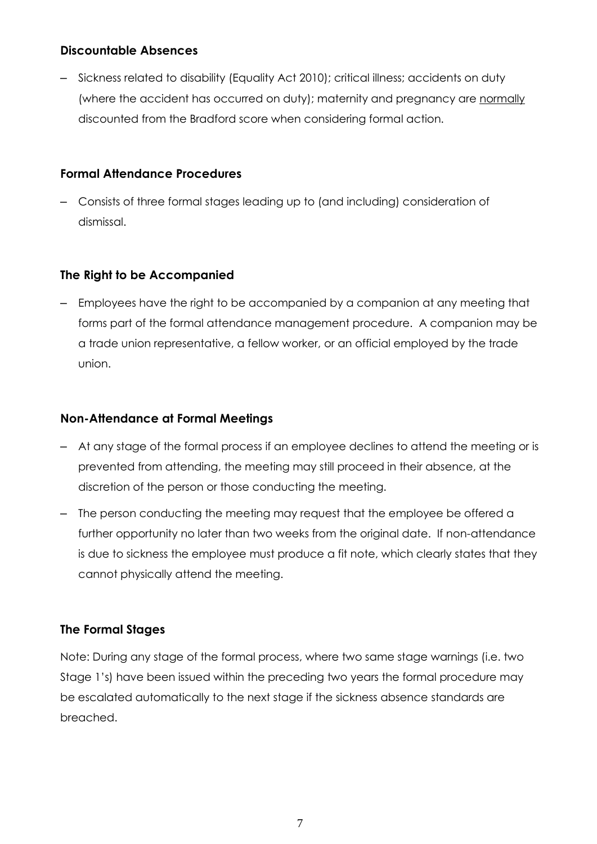## **Discountable Absences**

– Sickness related to disability (Equality Act 2010); critical illness; accidents on duty (where the accident has occurred on duty); maternity and pregnancy are normally discounted from the Bradford score when considering formal action.

## **Formal Attendance Procedure[s](http://education.staffordshire.gov.uk/ProceduresAndGuidance/Procedures/HR/absencemanagement/formal/)**

– Consists of three formal stages leading up to (and including) consideration of dismissal.

# **The Right to be Accompanied**

– Employees have the right to be accompanied by a companion at any meeting that forms part of the formal attendance management procedure. A companion may be a trade union representative, a fellow worker, or an official employed by the trade union.

## **Non-Attendance at Formal Meetings**

- At any stage of the formal process if an employee declines to attend the meeting or is prevented from attending, the meeting may still proceed in their absence, at the discretion of the person or those conducting the meeting.
- The person conducting the meeting may request that the employee be offered a further opportunity no later than two weeks from the original date. If non-attendance is due to sickness the employee must produce a fit note, which clearly states that they cannot physically attend the meeting.

# **The Formal Stages**

Note: During any stage of the formal process, where two same stage warnings (i.e. two Stage 1's) have been issued within the preceding two years the formal procedure may be escalated automatically to the next stage if the sickness absence standards are breached.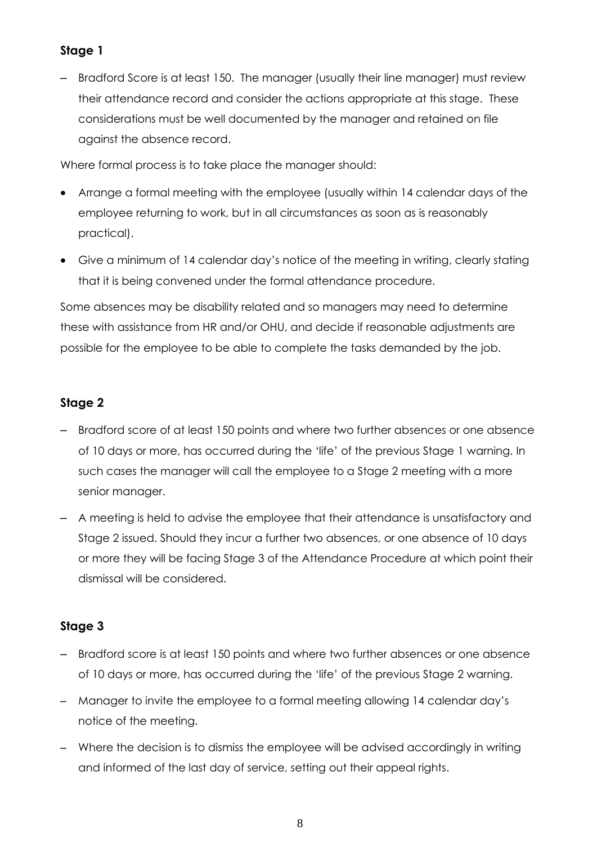# **Stage 1**

– Bradford Score is at least 150. The manager (usually their line manager) must review their attendance record and consider the actions appropriate at this stage. These considerations must be well documented by the manager and retained on file against the absence record.

Where formal process is to take place the manager should:

- Arrange a formal meeting with the employee (usually within 14 calendar days of the employee returning to work, but in all circumstances as soon as is reasonably practical).
- Give a minimum of 14 calendar day's notice of the meeting in writing, clearly stating that it is being convened under the formal attendance procedure.

Some absences may be disability related and so managers may need to determine these with assistance from HR and/or OHU, and decide if reasonable adjustments are possible for the employee to be able to complete the tasks demanded by the job.

# **Stage 2**

- Bradford score of at least 150 points and where two further absences or one absence of 10 days or more, has occurred during the 'life' of the previous Stage 1 warning. In such cases the manager will call the employee to a Stage 2 meeting with a more senior manager.
- A meeting is held to advise the employee that their attendance is unsatisfactory and Stage 2 issued. Should they incur a further two absences, or one absence of 10 days or more they will be facing Stage 3 of the Attendance Procedure at which point their dismissal will be considered.

# **Stage 3**

- Bradford score is at least 150 points and where two further absences or one absence of 10 days or more, has occurred during the 'life' of the previous Stage 2 warning.
- Manager to invite the employee to a formal meeting allowing 14 calendar day's notice of the meeting.
- Where the decision is to dismiss the employee will be advised accordingly in writing and informed of the last day of service, setting out their appeal rights.